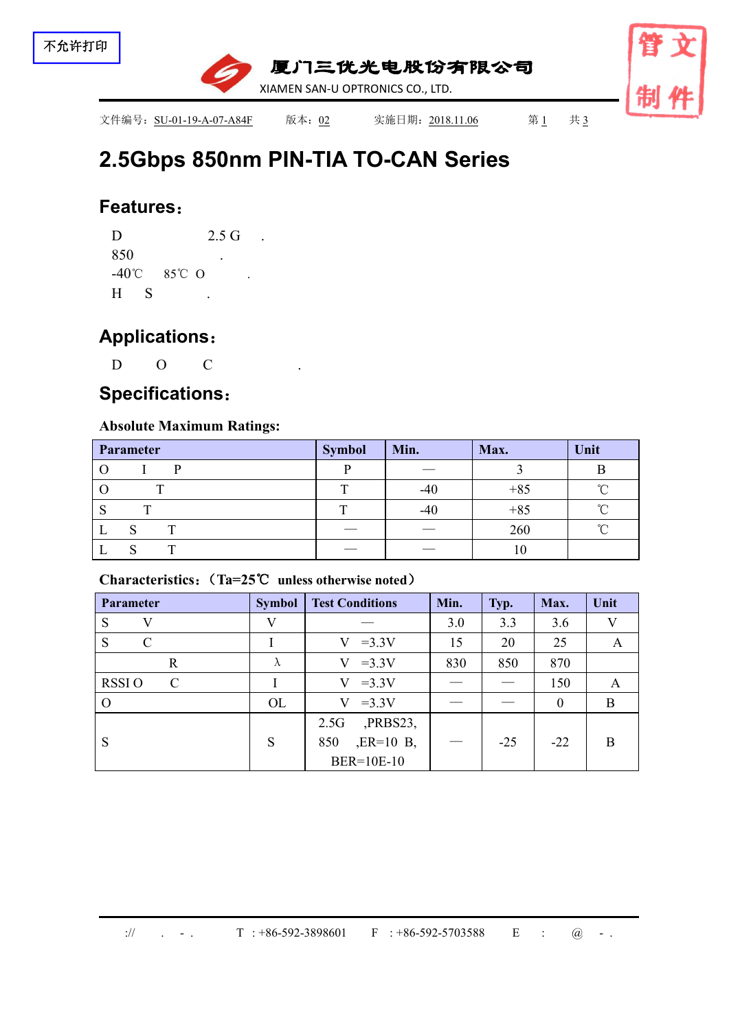

文件编号: SU-01-19-A-07-A84F 版本: 02 实施日期: 2018.11.06 第1 共 3

# **2.5Gbps 850nm PIN-TIA TO-CAN [Series](file:///C:/Users/Administrator/AppData/Local/youdao/dict/Application/7.5.2.0/resultui/dict/?keyword=series)**

### **Features**:

 $D$  2.5 G . 850 . -40℃ 85℃ O . H S .

# **Applications**:

D O C .

# **Specifications**:

### **Absolute Maximum Ratings:**

| Parameter         | Min.<br><b>Symbol</b>          |                                 | Max.  | Unit   |  |
|-------------------|--------------------------------|---------------------------------|-------|--------|--|
|                   |                                | ___                             |       |        |  |
| Ő                 | m                              | $-40$                           | $+85$ | $\sim$ |  |
| $\mathbf{r}$<br>c | Ē                              | $-40$                           | $+85$ | $\sim$ |  |
| L                 | $\overbrace{\hspace{25mm}}^{}$ | $\hspace{0.1mm}-\hspace{0.1mm}$ | 260   | $\sim$ |  |
|                   |                                | $\overbrace{\phantom{aaaaa}}$   | 10    |        |  |

### **Characteristics**:(**Ta=25**℃ **unless otherwise noted**)

| <b>Parameter</b>              | <b>Symbol</b> | <b>Test Conditions</b> | Min. | Typ.  | Max.     | Unit |
|-------------------------------|---------------|------------------------|------|-------|----------|------|
| V<br>S                        | V             |                        | 3.0  | 3.3   | 3.6      | V    |
| S<br>$\mathcal{C}$            |               | $=3.3V$<br>V.          | 15   | 20    | 25       | A    |
| R                             | $\Lambda$     | $=3.3V$<br>V           | 830  | 850   | 870      |      |
| <b>RSSIO</b><br>$\mathcal{C}$ |               | $=3.3V$<br>V           |      |       | 150      | A    |
| $\Omega$                      | OL            | $=3.3V$<br>V           |      |       | $\theta$ | B    |
|                               |               | $PRBS23$ ,<br>2.5G     |      |       |          |      |
| S                             | S             | $, ER=10$ B,<br>850    |      | $-25$ | $-22$    | B    |
|                               |               | <b>BER=10E-10</b>      |      |       |          |      |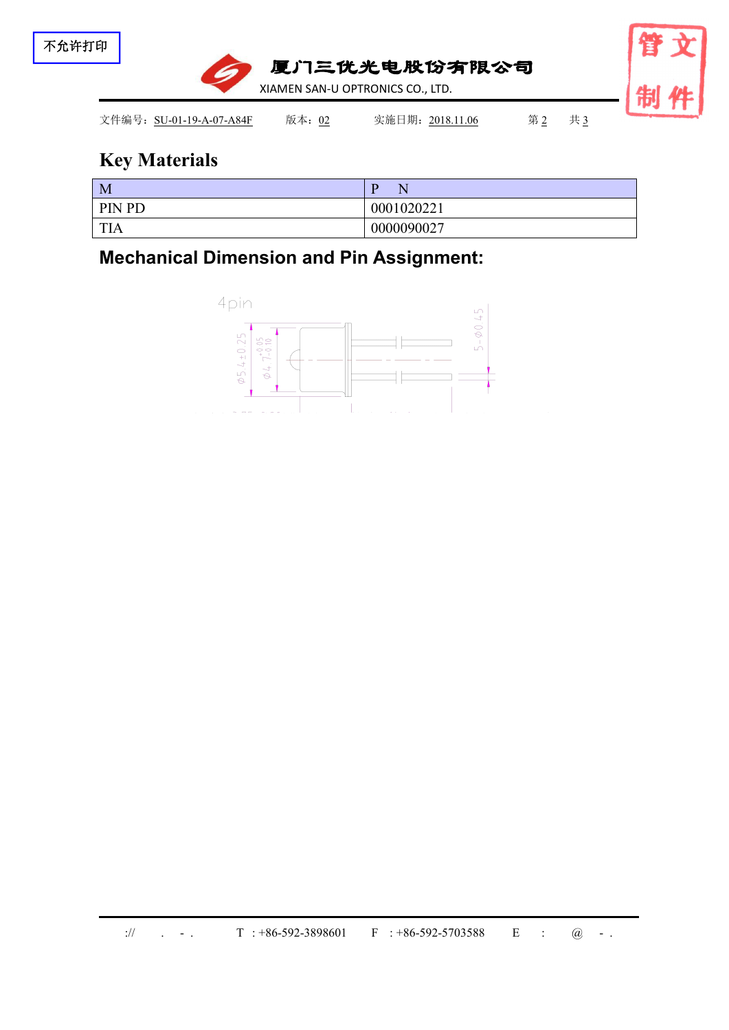

# **Key Materials**

| M             |            |
|---------------|------------|
| <b>PIN PD</b> | 0001020221 |
| <b>TIA</b>    | 0000090027 |

**Mechanical Dimension and Pin Assignment:**